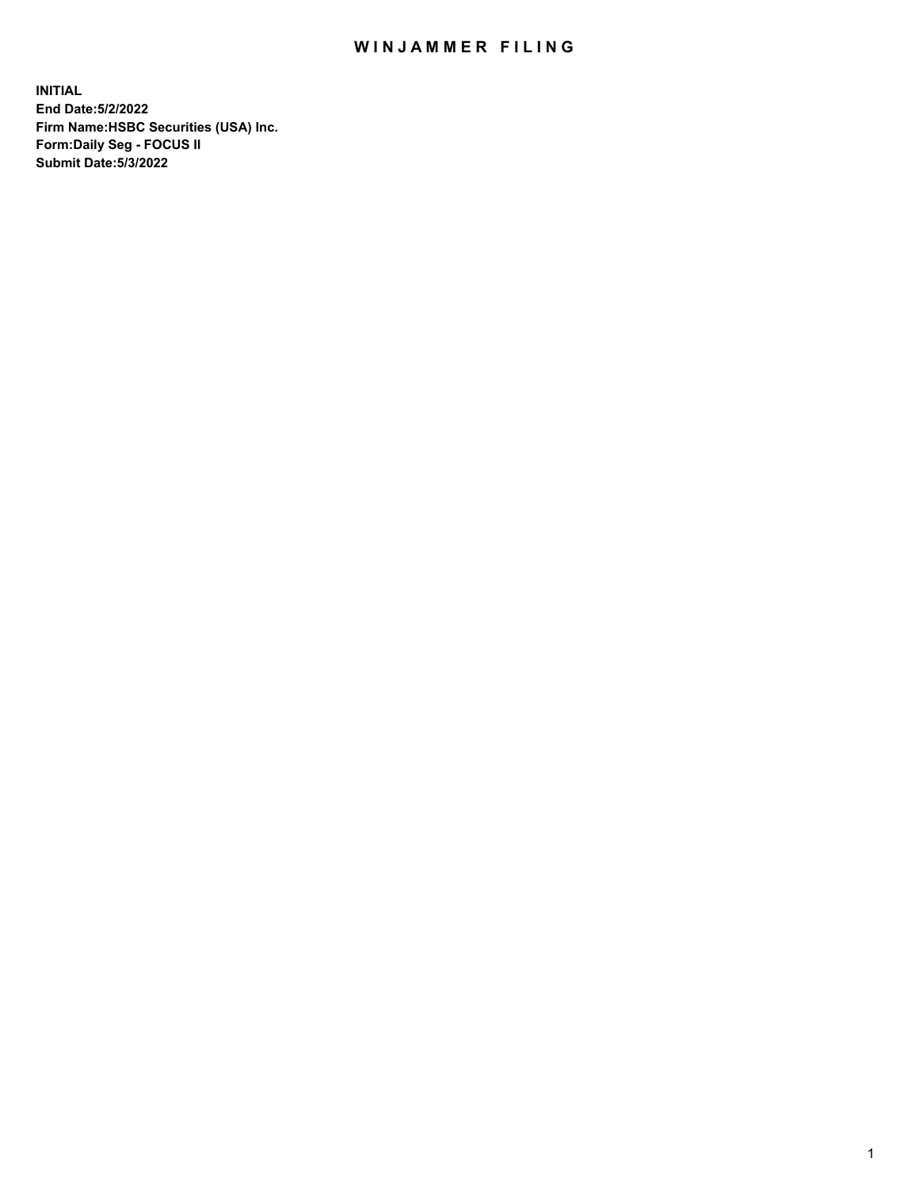## WIN JAMMER FILING

**INITIAL End Date:5/2/2022 Firm Name:HSBC Securities (USA) Inc. Form:Daily Seg - FOCUS II Submit Date:5/3/2022**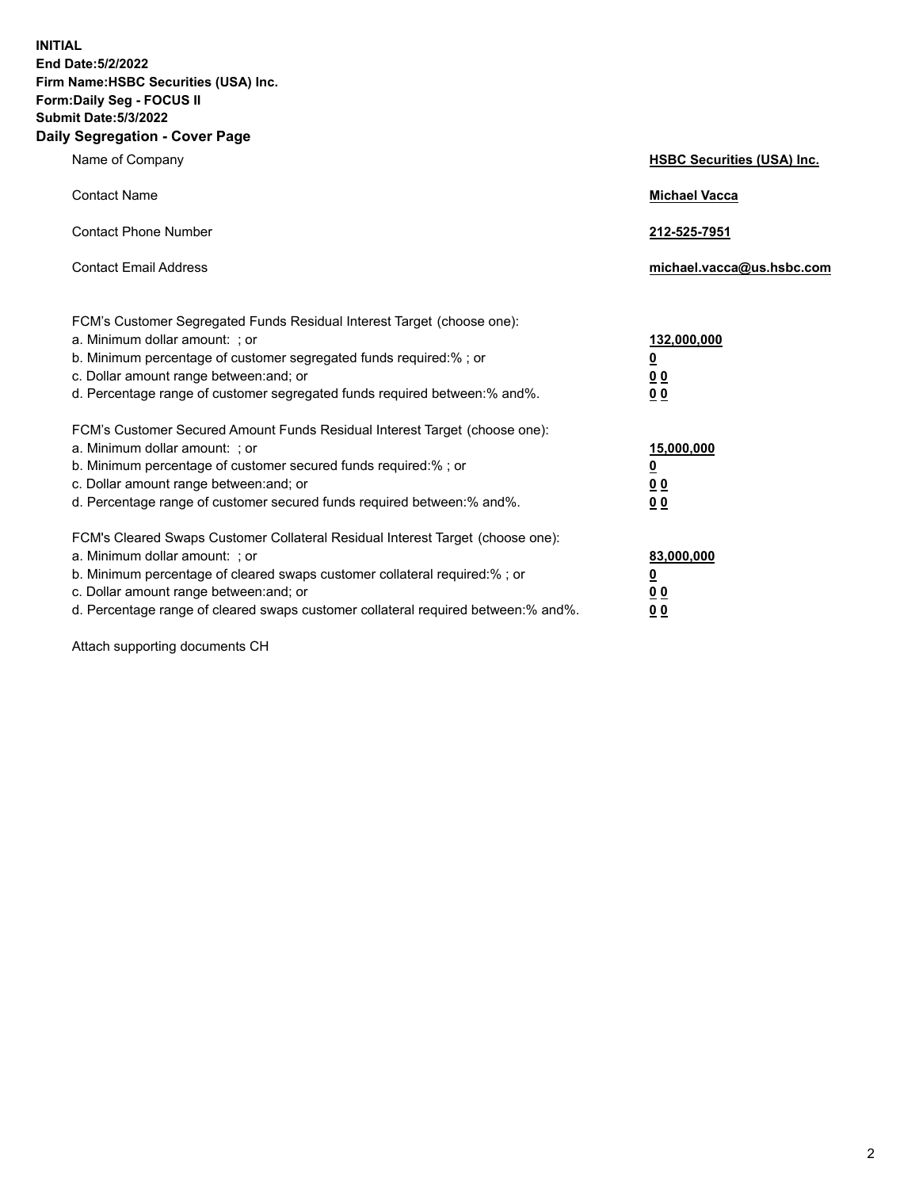**INITIAL End Date:5/2/2022 Firm Name:HSBC Securities (USA) Inc. Form:Daily Seg - FOCUS II Submit Date:5/3/2022 Daily Segregation - Cover Page**

| Name of Company                                                                                                                                                                                                                                                                                                                | <b>HSBC Securities (USA) Inc.</b>                          |
|--------------------------------------------------------------------------------------------------------------------------------------------------------------------------------------------------------------------------------------------------------------------------------------------------------------------------------|------------------------------------------------------------|
| <b>Contact Name</b>                                                                                                                                                                                                                                                                                                            | <b>Michael Vacca</b>                                       |
| <b>Contact Phone Number</b>                                                                                                                                                                                                                                                                                                    | 212-525-7951                                               |
| <b>Contact Email Address</b>                                                                                                                                                                                                                                                                                                   | michael.vacca@us.hsbc.com                                  |
| FCM's Customer Segregated Funds Residual Interest Target (choose one):<br>a. Minimum dollar amount: ; or<br>b. Minimum percentage of customer segregated funds required:% ; or<br>c. Dollar amount range between: and; or<br>d. Percentage range of customer segregated funds required between:% and%.                         | 132,000,000<br><u>0</u><br>0 <sub>0</sub><br>00            |
| FCM's Customer Secured Amount Funds Residual Interest Target (choose one):<br>a. Minimum dollar amount: ; or<br>b. Minimum percentage of customer secured funds required:%; or<br>c. Dollar amount range between: and; or<br>d. Percentage range of customer secured funds required between:% and%.                            | 15,000,000<br><u>0</u><br>0 <sub>0</sub><br>0 <sub>0</sub> |
| FCM's Cleared Swaps Customer Collateral Residual Interest Target (choose one):<br>a. Minimum dollar amount: ; or<br>b. Minimum percentage of cleared swaps customer collateral required:% ; or<br>c. Dollar amount range between: and; or<br>d. Percentage range of cleared swaps customer collateral required between:% and%. | 83,000,000<br><u>0</u><br><u>00</u><br>00                  |

Attach supporting documents CH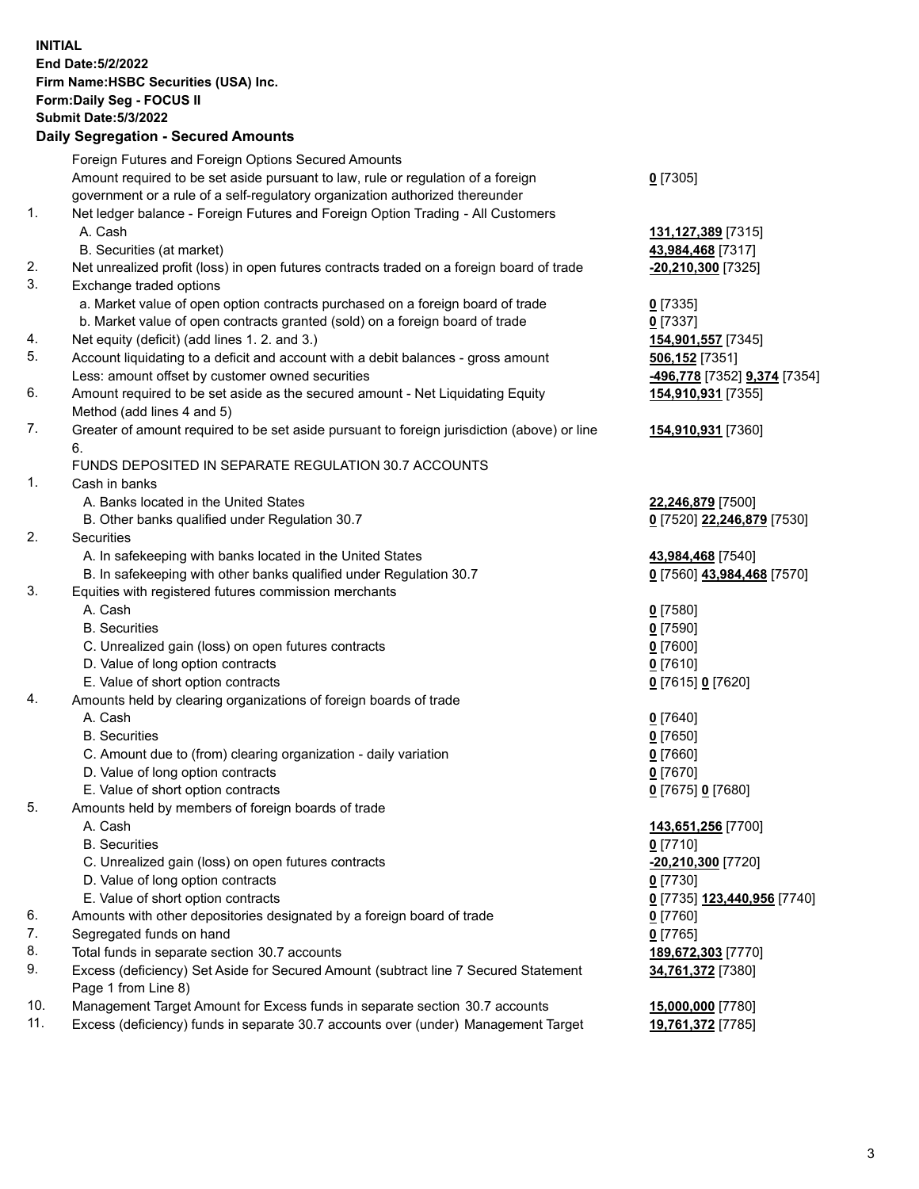**INITIAL End Date:5/2/2022 Firm Name:HSBC Securities (USA) Inc. Form:Daily Seg - FOCUS II Submit Date:5/3/2022 Daily Segregation - Secured Amounts** Foreign Futures and Foreign Options Secured Amounts Amount required to be set aside pursuant to law, rule or regulation of a foreign government or a rule of a self-regulatory organization authorized thereunder **0** [7305] 1. Net ledger balance - Foreign Futures and Foreign Option Trading - All Customers A. Cash **131,127,389** [7315] B. Securities (at market) **43,984,468** [7317] 2. Net unrealized profit (loss) in open futures contracts traded on a foreign board of trade **-20,210,300** [7325] 3. Exchange traded options a. Market value of open option contracts purchased on a foreign board of trade **0** [7335] b. Market value of open contracts granted (sold) on a foreign board of trade **0** [7337] 4. Net equity (deficit) (add lines 1. 2. and 3.) **154,901,557** [7345] 5. Account liquidating to a deficit and account with a debit balances - gross amount **506,152** [7351] Less: amount offset by customer owned securities **-496,778** [7352] **9,374** [7354] 6. Amount required to be set aside as the secured amount - Net Liquidating Equity Method (add lines 4 and 5) **154,910,931** [7355] 7. Greater of amount required to be set aside pursuant to foreign jurisdiction (above) or line 6. **154,910,931** [7360] FUNDS DEPOSITED IN SEPARATE REGULATION 30.7 ACCOUNTS 1. Cash in banks A. Banks located in the United States **22,246,879** [7500] B. Other banks qualified under Regulation 30.7 **0** [7520] **22,246,879** [7530] 2. Securities A. In safekeeping with banks located in the United States **43,984,468** [7540] B. In safekeeping with other banks qualified under Regulation 30.7 **0** [7560] **43,984,468** [7570] 3. Equities with registered futures commission merchants A. Cash **0** [7580] B. Securities **0** [7590] C. Unrealized gain (loss) on open futures contracts **0** [7600] D. Value of long option contracts **0** [7610] E. Value of short option contracts **0** [7615] **0** [7620] 4. Amounts held by clearing organizations of foreign boards of trade A. Cash **0** [7640] B. Securities **0** [7650] C. Amount due to (from) clearing organization - daily variation **0** [7660] D. Value of long option contracts **0** [7670] E. Value of short option contracts **0** [7675] **0** [7680] 5. Amounts held by members of foreign boards of trade A. Cash **143,651,256** [7700] B. Securities **0** [7710] C. Unrealized gain (loss) on open futures contracts **-20,210,300** [7720] D. Value of long option contracts **0** [7730] E. Value of short option contracts **0** [7735] **123,440,956** [7740] 6. Amounts with other depositories designated by a foreign board of trade **0** [7760] 7. Segregated funds on hand **0** [7765] 8. Total funds in separate section 30.7 accounts **189,672,303** [7770] 9. Excess (deficiency) Set Aside for Secured Amount (subtract line 7 Secured Statement Page 1 from Line 8) **34,761,372** [7380] 10. Management Target Amount for Excess funds in separate section 30.7 accounts **15,000,000** [7780] 11. Excess (deficiency) funds in separate 30.7 accounts over (under) Management Target **19,761,372** [7785]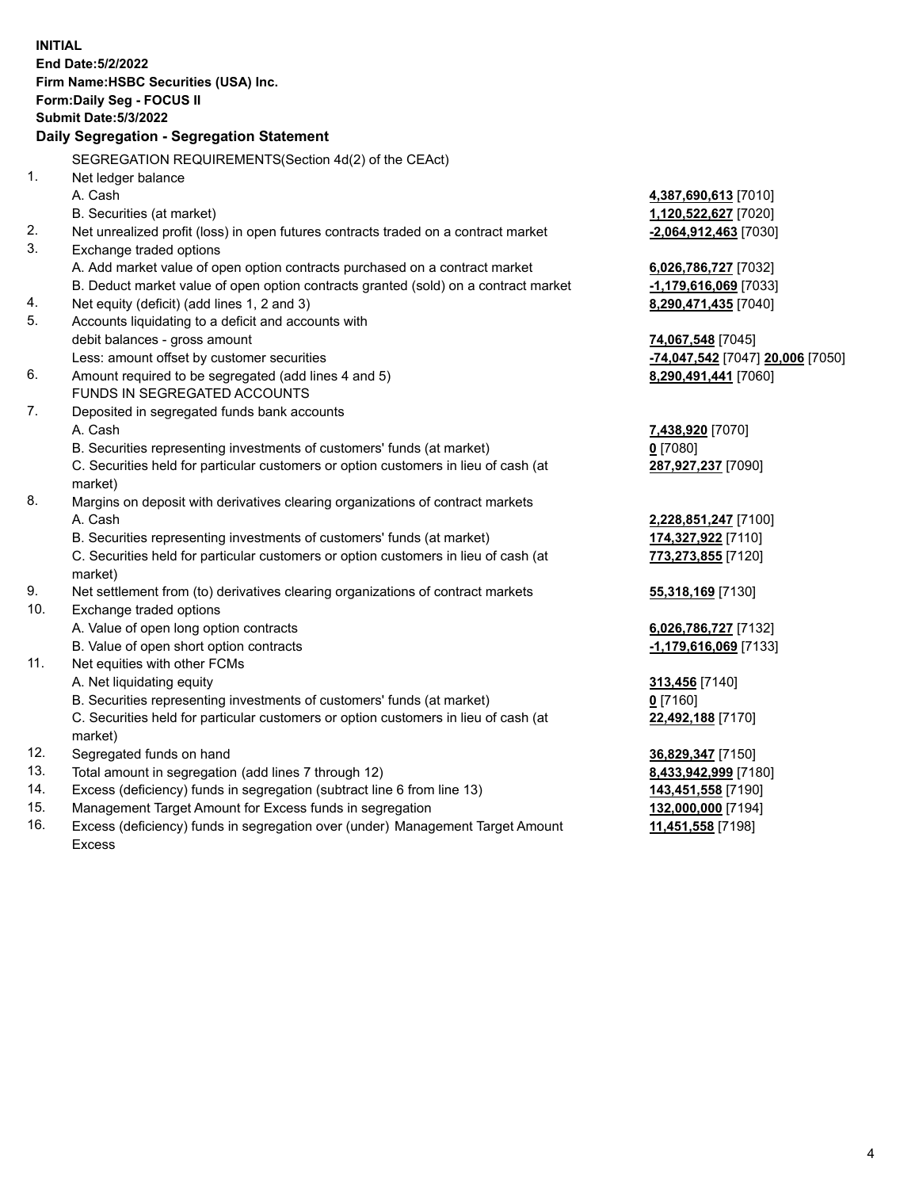|     | <b>INITIAL</b><br>End Date: 5/2/2022<br>Firm Name: HSBC Securities (USA) Inc.<br>Form: Daily Seg - FOCUS II<br><b>Submit Date: 5/3/2022</b> |                                  |
|-----|---------------------------------------------------------------------------------------------------------------------------------------------|----------------------------------|
|     | Daily Segregation - Segregation Statement                                                                                                   |                                  |
|     | SEGREGATION REQUIREMENTS(Section 4d(2) of the CEAct)                                                                                        |                                  |
| 1.  | Net ledger balance                                                                                                                          |                                  |
|     | A. Cash                                                                                                                                     | 4,387,690,613 [7010]             |
|     | B. Securities (at market)                                                                                                                   | 1,120,522,627 [7020]             |
| 2.  | Net unrealized profit (loss) in open futures contracts traded on a contract market                                                          | -2,064,912,463 [7030]            |
| 3.  | Exchange traded options                                                                                                                     |                                  |
|     | A. Add market value of open option contracts purchased on a contract market                                                                 | 6,026,786,727 [7032]             |
|     | B. Deduct market value of open option contracts granted (sold) on a contract market                                                         | -1,179,616,069 [7033]            |
| 4.  | Net equity (deficit) (add lines 1, 2 and 3)                                                                                                 | 8,290,471,435 [7040]             |
| 5.  | Accounts liquidating to a deficit and accounts with                                                                                         |                                  |
|     | debit balances - gross amount                                                                                                               | 74,067,548 [7045]                |
|     | Less: amount offset by customer securities                                                                                                  | -74,047,542 [7047] 20,006 [7050] |
| 6.  | Amount required to be segregated (add lines 4 and 5)                                                                                        | 8,290,491,441 [7060]             |
|     | FUNDS IN SEGREGATED ACCOUNTS                                                                                                                |                                  |
| 7.  | Deposited in segregated funds bank accounts                                                                                                 |                                  |
|     | A. Cash                                                                                                                                     | 7,438,920 [7070]                 |
|     | B. Securities representing investments of customers' funds (at market)                                                                      | $0$ [7080]                       |
|     | C. Securities held for particular customers or option customers in lieu of cash (at                                                         | 287,927,237 [7090]               |
|     | market)                                                                                                                                     |                                  |
| 8.  | Margins on deposit with derivatives clearing organizations of contract markets                                                              |                                  |
|     | A. Cash                                                                                                                                     | 2,228,851,247 [7100]             |
|     | B. Securities representing investments of customers' funds (at market)                                                                      | 174,327,922 [7110]               |
|     | C. Securities held for particular customers or option customers in lieu of cash (at<br>market)                                              | 773,273,855 [7120]               |
| 9.  | Net settlement from (to) derivatives clearing organizations of contract markets                                                             | 55,318,169 [7130]                |
| 10. | Exchange traded options                                                                                                                     |                                  |
|     | A. Value of open long option contracts                                                                                                      | 6,026,786,727 [7132]             |
|     | B. Value of open short option contracts                                                                                                     | -1,179,616,069 [7133]            |
| 11. | Net equities with other FCMs                                                                                                                |                                  |
|     | A. Net liquidating equity                                                                                                                   | 313,456 [7140]                   |
|     | B. Securities representing investments of customers' funds (at market)                                                                      | $0$ [7160]                       |
|     | C. Securities held for particular customers or option customers in lieu of cash (at<br>market)                                              | 22,492,188 [7170]                |
| 12. | Segregated funds on hand                                                                                                                    | 36,829,347 [7150]                |
| 13. | Total amount in segregation (add lines 7 through 12)                                                                                        | 8,433,942,999 [7180]             |
| 14. | Excess (deficiency) funds in segregation (subtract line 6 from line 13)                                                                     | 143,451,558 [7190]               |
| 15. | Management Target Amount for Excess funds in segregation                                                                                    | 132,000,000 [7194]               |
| 16. | Excess (deficiency) funds in segregation over (under) Management Target Amount                                                              | 11,451,558 [7198]                |

Excess